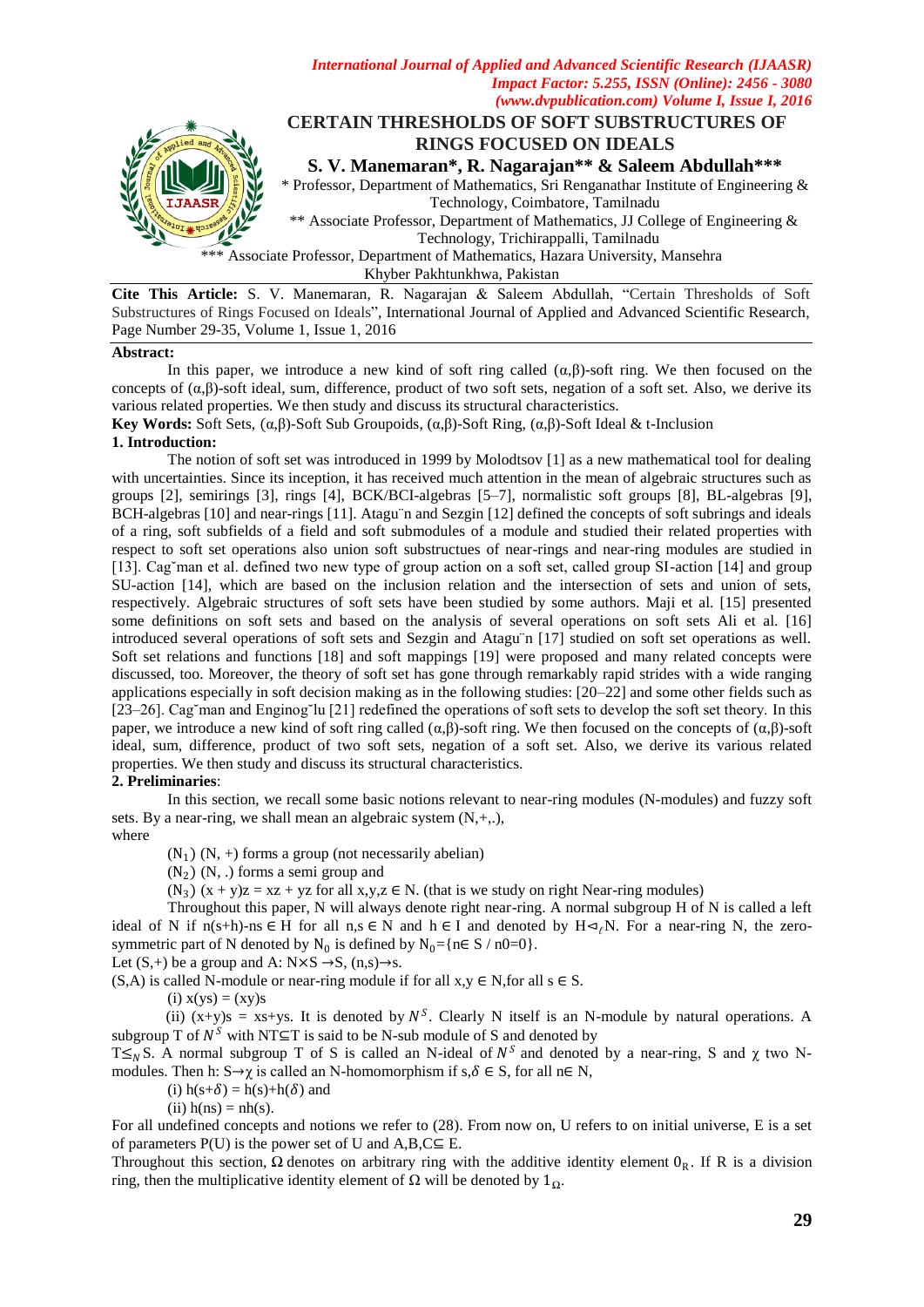

*International Journal of Applied and Advanced Scientific Research (IJAASR)*

Khyber Pakhtunkhwa, Pakistan

**Cite This Article:** S. V. Manemaran, R. Nagarajan & Saleem Abdullah, "Certain Thresholds of Soft Substructures of Rings Focused on Ideals", International Journal of Applied and Advanced Scientific Research, Page Number 29-35, Volume 1, Issue 1, 2016

## **Abstract:**

In this paper, we introduce a new kind of soft ring called  $(\alpha, \beta)$ -soft ring. We then focused on the concepts of  $(a, \beta)$ -soft ideal, sum, difference, product of two soft sets, negation of a soft set. Also, we derive its various related properties. We then study and discuss its structural characteristics.

**Key Words:** Soft Sets, (α,β)-Soft Sub Groupoids, (α,β)-Soft Ring, (α,β)-Soft Ideal & t-Inclusion

## **1. Introduction:**

The notion of soft set was introduced in 1999 by Molodtsov [1] as a new mathematical tool for dealing with uncertainties. Since its inception, it has received much attention in the mean of algebraic structures such as groups [2], semirings [3], rings [4], BCK/BCI-algebras [5–7], normalistic soft groups [8], BL-algebras [9], BCH-algebras [10] and near-rings [11]. Atagu¨n and Sezgin [12] defined the concepts of soft subrings and ideals of a ring, soft subfields of a field and soft submodules of a module and studied their related properties with respect to soft set operations also union soft substructues of near-rings and near-ring modules are studied in [13]. Cag`man et al. defined two new type of group action on a soft set, called group SI-action [14] and group SU-action [14], which are based on the inclusion relation and the intersection of sets and union of sets, respectively. Algebraic structures of soft sets have been studied by some authors. Maji et al. [15] presented some definitions on soft sets and based on the analysis of several operations on soft sets Ali et al. [16] introduced several operations of soft sets and Sezgin and Atagu¨n [17] studied on soft set operations as well. Soft set relations and functions [18] and soft mappings [19] were proposed and many related concepts were discussed, too. Moreover, the theory of soft set has gone through remarkably rapid strides with a wide ranging applications especially in soft decision making as in the following studies: [20–22] and some other fields such as [23–26]. Cag˘man and Enginog˘lu [21] redefined the operations of soft sets to develop the soft set theory. In this paper, we introduce a new kind of soft ring called  $(\alpha, \beta)$ -soft ring. We then focused on the concepts of  $(\alpha, \beta)$ -soft ideal, sum, difference, product of two soft sets, negation of a soft set. Also, we derive its various related properties. We then study and discuss its structural characteristics.

#### **2. Preliminaries**:

In this section, we recall some basic notions relevant to near-ring modules (N-modules) and fuzzy soft sets. By a near-ring, we shall mean an algebraic system  $(N, +, \cdot)$ ,

where

 $(N_1)$   $(N, +)$  forms a group (not necessarily abelian)

 $(N_2)$   $(N, .)$  forms a semi group and

 $(N_3)$   $(x + y)z = xz + yz$  for all  $x, y, z \in N$ . (that is we study on right Near-ring modules)

Throughout this paper, N will always denote right near-ring. A normal subgroup H of N is called a left ideal of N if  $n(s+h)$ -ns  $\in$  H for all  $n,s \in N$  and  $h \in I$  and denoted by  $H \triangleleft_f N$ . For a near-ring N, the zerosymmetric part of N denoted by  $N_0$  is defined by  $N_0 = \{n \in S / n0=0\}$ .

Let  $(S,+)$  be a group and A:  $N \times S \rightarrow S$ ,  $(n,s) \rightarrow s$ .

 $(S, A)$  is called N-module or near-ring module if for all  $x, y \in N$ , for all  $s \in S$ .

 $(i)$   $x(ys) = (xy)s$ 

(ii)  $(x+y)s = xs+ys$ . It is denoted by  $N<sup>S</sup>$ . Clearly N itself is an N-module by natural operations. A subgroup T of  $N^S$  with NT⊆T is said to be N-sub module of S and denoted by

T 
subgroup T of S is called an N-ideal of  $N^S$  and denoted by a near-ring, S and  $\chi$  two Nmodules. Then h:  $S \rightarrow \gamma$  is called an N-homomorphism if s,  $\delta \in S$ , for all n $\in N$ ,

(i)  $h(s+\delta) = h(s)+h(\delta)$  and

(ii)  $h(ns) = nh(s)$ .

For all undefined concepts and notions we refer to (28). From now on, U refers to on initial universe, E is a set of parameters  $P(U)$  is the power set of U and  $A, B, C \subseteq E$ .

Throughout this section,  $\Omega$  denotes on arbitrary ring with the additive identity element  $0_R$ . If R is a division ring, then the multiplicative identity element of Ω will be denoted by 1*Ω*.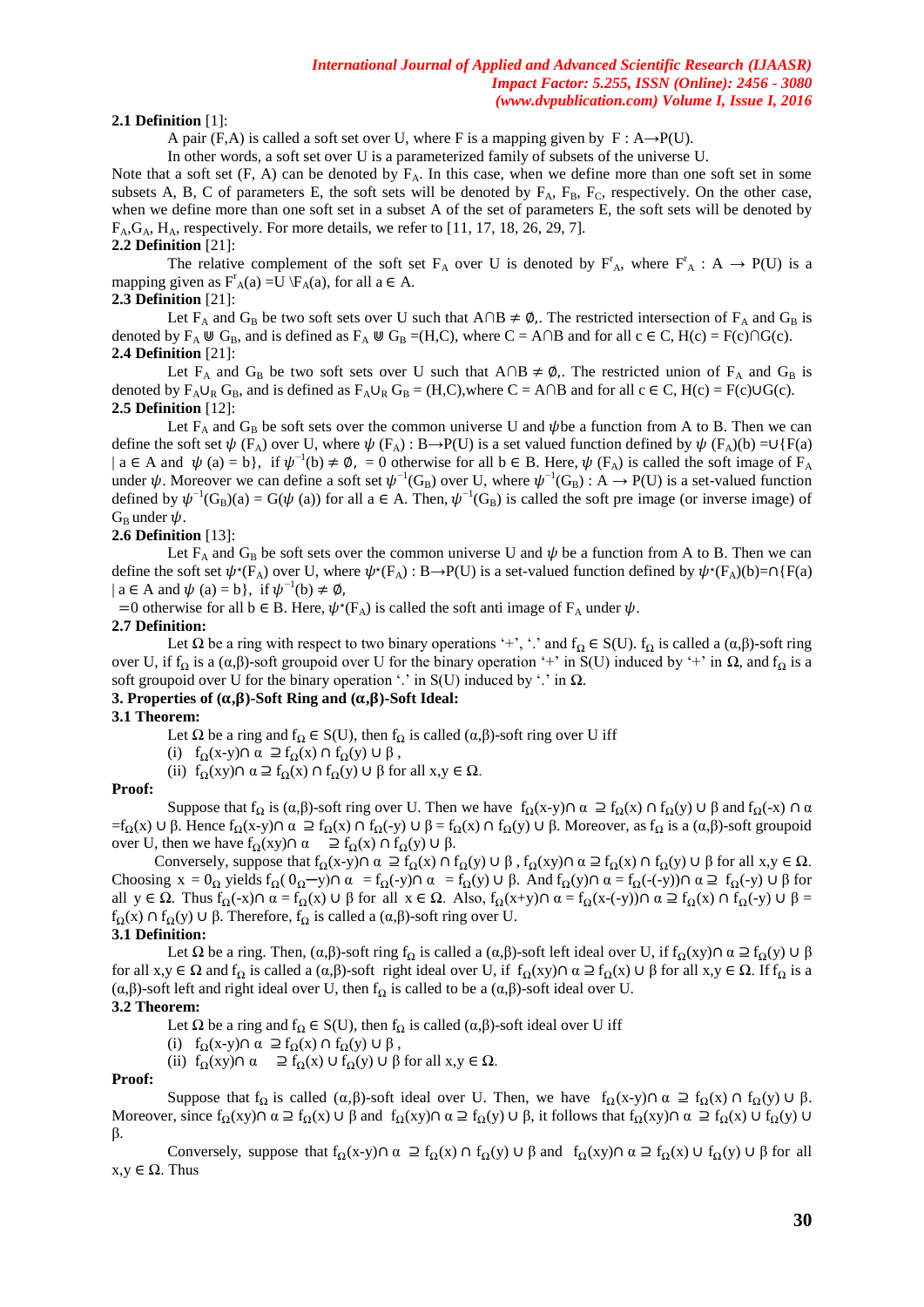## **2.1 Definition** [1]:

A pair (F,A) is called a soft set over U, where F is a mapping given by  $F : A \rightarrow P(U)$ .

In other words, a soft set over U is a parameterized family of subsets of the universe U.

Note that a soft set  $(F, A)$  can be denoted by  $F_A$ . In this case, when we define more than one soft set in some subsets A, B, C of parameters E, the soft sets will be denoted by  $F_A$ ,  $F_B$ ,  $F_C$ , respectively. On the other case, when we define more than one soft set in a subset A of the set of parameters E, the soft sets will be denoted by  $F_A$ , $G_A$ ,  $H_A$ , respectively. For more details, we refer to [11, 17, 18, 26, 29, 7]. **2.2 Definition** [21]:

The relative complement of the soft set  $F_A$  over U is denoted by  $F_A$ , where  $F_A^r : A \to P(U)$  is a mapping given as  $F_A^r(a) = U \ F_A(a)$ , for all  $a \in A$ .

## **2.3 Definition** [21]:

Let F<sub>A</sub> and G<sub>B</sub> be two soft sets over U such that A∩B  $\neq \emptyset$ . The restricted intersection of F<sub>A</sub> and G<sub>B</sub> is denoted by  $F_A \otimes G_B$ , and is defined as  $F_A \otimes G_B = (H, C)$ , where  $C = A \cap B$  and for all  $c \in C$ ,  $H(c) = F(c) \cap G(c)$ . **2.4 Definition** [21]:

Let F<sub>A</sub> and G<sub>B</sub> be two soft sets over U such that A∩B  $\neq \emptyset$ . The restricted union of F<sub>A</sub> and G<sub>B</sub> is denoted by  $F_A \cup_R G_B$ , and is defined as  $F_A \cup_R G_B = (H,C)$ , where  $C = A \cap B$  and for all  $c \in C$ ,  $H(c) = F(c) \cup G(c)$ . **2.5 Definition** [12]:

Let  $F_A$  and  $G_B$  be soft sets over the common universe U and  $\psi$  be a function from A to B. Then we can define the soft set  $\psi$  (F<sub>A</sub>) over U, where  $\psi$  (F<sub>A</sub>): B→P(U) is a set valued function defined by  $\psi$  (F<sub>A</sub>)(b) =∪{F(a)  $| a \in A$  and  $\psi(a) = b$ , if  $\psi^{-1}(b) \neq \emptyset$ ,  $= 0$  otherwise for all  $b \in B$ . Here,  $\psi(F_A)$  is called the soft image of  $F_A$ under  $\psi$ . Moreover we can define a soft set  $\psi^{-1}(G_B)$  over U, where  $\psi^{-1}(G_B)$ : A  $\to P(U)$  is a set-valued function defined by  $\psi^{-1}(G_B)(a) = G(\psi(a))$  for all  $a \in A$ . Then,  $\psi^{-1}(G_B)$  is called the soft pre image (or inverse image) of  $G_B$  under  $\psi$ .

## **2.6 Definition** [13]:

Let  $F_A$  and  $G_B$  be soft sets over the common universe U and  $\psi$  be a function from A to B. Then we can define the soft set  $\psi^*(F_A)$  over U, where  $\psi^*(F_A) : B \to P(U)$  is a set-valued function defined by  $\psi^*(F_A)(b) = \cap \{F(a)$  $|a \in A$  and  $\psi(a) = b$ , if  $\psi^{-1}(b) \neq \emptyset$ ,

=0 otherwise for all b  $\in$  B. Here,  $\psi^*(F_A)$  is called the soft anti image of  $F_A$  under  $\psi$ .

## **2.7 Definition:**

Let  $\Omega$  be a ring with respect to two binary operations '+', '.' and  $f_{\Omega} \in S(U)$ .  $f_{\Omega}$  is called a  $(\alpha, \beta)$ -soft ring over U, if f*<sup>Ω</sup>* is a (α,β)-soft groupoid over U for the binary operation "+" in S(U) induced by "+" in *Ω*, and f*<sup>Ω</sup>* is a soft groupoid over U for the binary operation "." in S(U) induced by "." in *Ω*.

## **3. Properties of**  $(\alpha, \beta)$ **-Soft Ring and**  $(\alpha, \beta)$ **-Soft Ideal:**

#### **3.1 Theorem:**

Let  $\Omega$  be a ring and  $f_{\Omega} \in S(U)$ , then  $f_{\Omega}$  is called  $(\alpha, \beta)$ -soft ring over U iff

(i)  $f_{\Omega}(x-y)\cap \alpha \supseteq f_{\Omega}(x) \cap f_{\Omega}(y) \cup \beta$ ,

(ii)  $f_{\Omega}(xy) \cap \alpha \supseteq f_{\Omega}(x) \cap f_{\Omega}(y) \cup \beta$  for all  $x, y \in \Omega$ .

#### **Proof:**

Suppose that  $f_{\Omega}$  is  $(\alpha, \beta)$ -soft ring over U. Then we have  $f_{\Omega}(x-y) \cap \alpha \supseteq f_{\Omega}(x) \cap f_{\Omega}(y) \cup \beta$  and  $f_{\Omega}(-x) \cap \alpha$  $=f_{\Omega}(x)$  ∪ β. Hence  $f_{\Omega}(x-y)$  α  $\supseteq f_{\Omega}(x)$  ∩  $f_{\Omega}(-y)$  ∪ β =  $f_{\Omega}(x)$  Ω  $f_{\Omega}(y)$  ∪ β. Moreover, as  $f_{\Omega}$  is a  $(\alpha,\beta)$ -soft groupoid over U, then we have  $f_Q(xy) \cap \alpha \supseteq f_Q(x) \cap f_Q(y) \cup \beta$ .

Conversely, suppose that  $f_{\Omega}(x-y)\cap \alpha \supseteq f_{\Omega}(x) \cap f_{\Omega}(y) \cup \beta$ ,  $f_{\Omega}(xy)\cap \alpha \supseteq f_{\Omega}(x) \cap f_{\Omega}(y) \cup \beta$  for all  $x,y \in \Omega$ . Choosing  $x = 0$ <sub>Ω</sub> yields  $f_{\Omega}( 0$ <sub>Ω</sub>—y)∩  $\alpha = f_{\Omega}(-y)$ ∩  $\alpha = f_{\Omega}(y)$  ∪ β. And  $f_{\Omega}(y)$ ∩  $\alpha = f_{\Omega}(-y)$ )∩  $\alpha \supseteq f_{\Omega}(-y)$  ∪ β for all  $y \in \Omega$ . Thus  $f_{\Omega}(-x) \cap \alpha = f_{\Omega}(x) \cup \beta$  for all  $x \in \Omega$ . Also,  $f_{\Omega}(x+y) \cap \alpha = f_{\Omega}(x(-(y)) \cap \alpha \supseteq f_{\Omega}(x) \cap f_{\Omega}(-y) \cup \beta =$ f<sub>Ω</sub>(x)  $\cap$  f<sub>Ω</sub>(y)  $\cup$  β. Therefore, f<sub>Ω</sub> is called a ( $\alpha$ ,β)-soft ring over U.

#### **3.1 Definition:**

Let  $\Omega$  be a ring. Then,  $(\alpha, \beta)$ -soft ring  $f_{\Omega}$  is called a  $(\alpha, \beta)$ -soft left ideal over U, if  $f_{\Omega}(xy) \cap \alpha \supseteq f_{\Omega}(y) \cup \beta$ for all  $x, y \in \Omega$  and  $f_{\Omega}$  is called a  $(\alpha, \beta)$ -soft right ideal over U, if  $f_{\Omega}(xy) \cap \alpha \supseteq f_{\Omega}(x) \cup \beta$  for all  $x, y \in \Omega$ . If  $f_{\Omega}$  is a (α,β)-soft left and right ideal over U, then  $f_{\Omega}$  is called to be a (α,β)-soft ideal over U.

## **3.2 Theorem:**

Let  $\Omega$  be a ring and  $f_{\Omega} \in S(U)$ , then  $f_{\Omega}$  is called  $(\alpha, \beta)$ -soft ideal over U iff

(i)  $f_{\Omega}(x-y)\cap \alpha \supseteq f_{\Omega}(x) \cap f_{\Omega}(y) \cup \beta$ ,

(ii)  $f_{\Omega}(xy) \cap \alpha \quad \supseteq f_{\Omega}(x) \cup f_{\Omega}(y) \cup \beta$  for all  $x, y \in \Omega$ .

#### **Proof:**

Suppose that  $f_{\Omega}$  is called  $(\alpha, \beta)$ -soft ideal over U. Then, we have  $f_{\Omega}(x-y)\cap \alpha \supseteq f_{\Omega}(x) \cap f_{\Omega}(y) \cup \beta$ . Moreover, since  $f_{\Omega}(xy) \cap \alpha \supseteq f_{\Omega}(x) \cup \beta$  and  $f_{\Omega}(xy) \cap \alpha \supseteq f_{\Omega}(y) \cup \beta$ , it follows that  $f_{\Omega}(xy) \cap \alpha \supseteq f_{\Omega}(x) \cup f_{\Omega}(y) \cup f_{\Omega}(y)$ β.

Conversely, suppose that  $f_{\Omega}(x-y)\cap \alpha \supseteq f_{\Omega}(x) \cap f_{\Omega}(y) \cup \beta$  and  $f_{\Omega}(xy)\cap \alpha \supseteq f_{\Omega}(x) \cup f_{\Omega}(y) \cup \beta$  for all  $x,y \in \Omega$ . Thus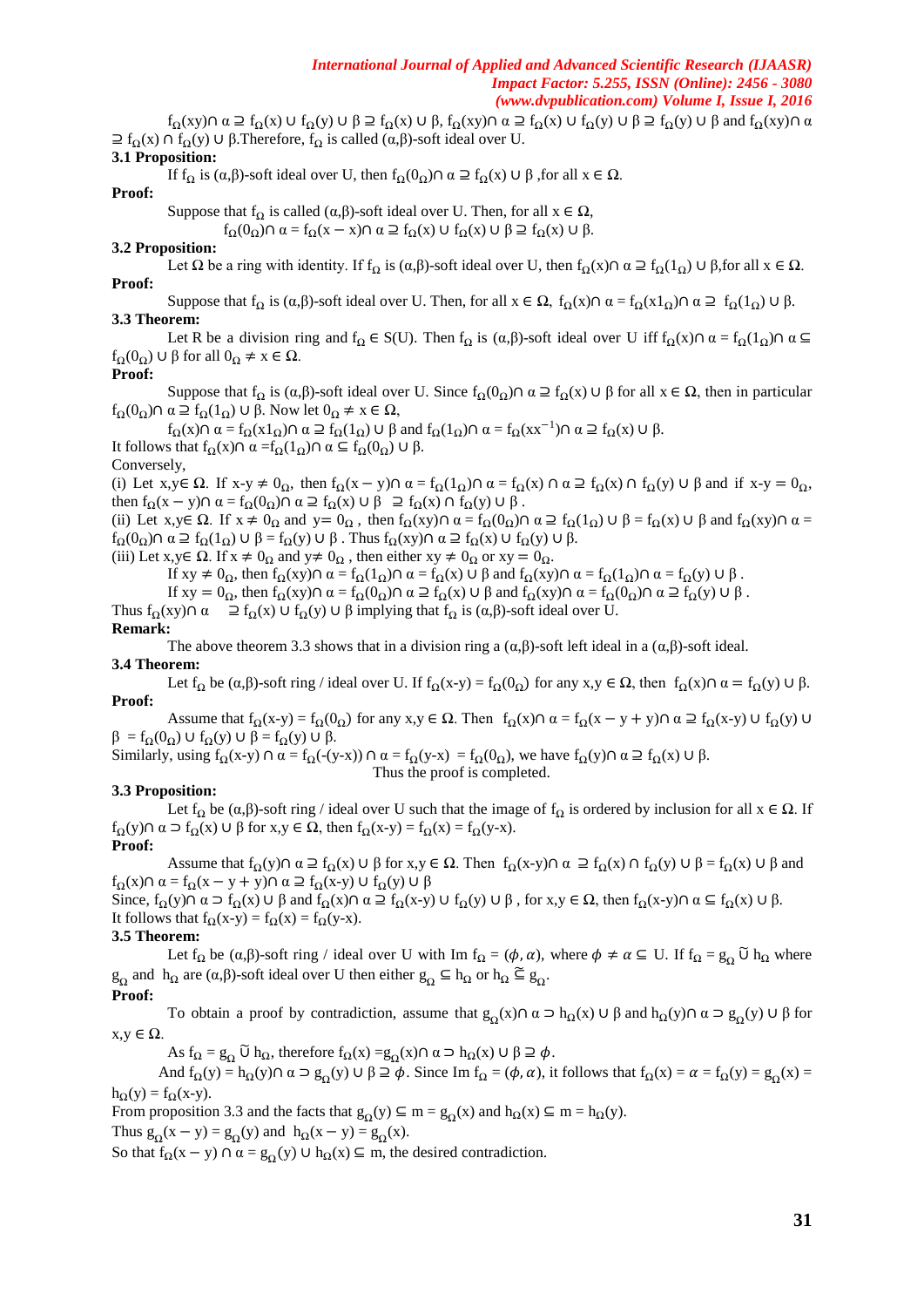$f_{\Omega}(xy)\cap \alpha \supseteq f_{\Omega}(x) \cup f_{\Omega}(y) \cup \beta \supseteq f_{\Omega}(x) \cup \beta$ ,  $f_{\Omega}(xy)\cap \alpha \supseteq f_{\Omega}(x) \cup f_{\Omega}(y) \cup \beta \supseteq f_{\Omega}(y) \cup \beta$  and  $f_{\Omega}(xy)\cap \alpha$  $\supseteq f_{\Omega}(x) \cap f_{\Omega}(y) \cup \beta$ . Therefore,  $f_{\Omega}$  is called  $(\alpha, \beta)$ -soft ideal over U.

## **3.1 Proposition:**

If f<sub>Ω</sub> is  $(α, β)$ -soft ideal over U, then f<sub>Ω</sub> $(0<sub>Ω</sub>) ∩ α ⊇ f<sub>Ω</sub>(x) ∪ β$ , for all  $x ∈ Ω$ .

## **Proof:**

Suppose that  $f_{\Omega}$  is called  $(\alpha, \beta)$ -soft ideal over U. Then, for all  $x \in \Omega$ ,  $f_{\Omega}(0_{\Omega}) \cap \alpha = f_{\Omega}(x-x) \cap \alpha \supseteq f_{\Omega}(x) \cup f_{\Omega}(x) \cup \beta \supseteq f_{\Omega}(x) \cup \beta.$ 

## **3.2 Proposition:**

Let  $\Omega$  be a ring with identity. If  $f_{\Omega}$  is ( $\alpha, \beta$ )-soft ideal over U, then  $f_{\Omega}(x) \cap \alpha \supseteq f_{\Omega}(1_{\Omega}) \cup \beta$ , for all  $x \in \Omega$ . **Proof:** 

Suppose that  $f_Q$  is  $(\alpha, \beta)$ -soft ideal over U. Then, for all  $x \in \Omega$ ,  $f_Q(x) \cap \alpha = f_Q(x1_Q) \cap \alpha \supseteq f_Q(1_Q) \cup \beta$ . **3.3 Theorem:** 

Let R be a division ring and  $f_Q \in S(U)$ . Then  $f_Q$  is  $(\alpha, \beta)$ -soft ideal over U iff  $f_Q(x) \cap \alpha = f_Q(1_Q) \cap \alpha \subseteq$  $f_{\Omega}(0_{\Omega}) \cup \beta$  for all  $0_{\Omega} \neq x \in \Omega$ .

## **Proof:**

Suppose that  $f_{\Omega}$  is  $(\alpha, \beta)$ -soft ideal over U. Since  $f_{\Omega}(0_{\Omega}) \cap \alpha \supseteq f_{\Omega}(x) \cup \beta$  for all  $x \in \Omega$ , then in particular  $f_{\Omega}(0_{\Omega}) \cap \alpha \supseteq f_{\Omega}(1_{\Omega}) \cup \beta$ . Now let  $0_{\Omega} \neq x \in \Omega$ ,

 $f_{\Omega}(x) \cap \alpha = f_{\Omega}(x 1_{\Omega}) \cap \alpha \supseteq f_{\Omega}(1_{\Omega}) \cup \beta$  and  $f_{\Omega}(1_{\Omega}) \cap \alpha = f_{\Omega}(xx^{-1}) \cap \alpha \supseteq f_{\Omega}(x) \cup \beta$ .

It follows that  $f_Q(x) ∩ α = f_Q(1_Q) ∩ α ⊆ f_Q(0_Q) ∪ β.$ Conversely,

(i) Let  $x,y \in \Omega$ . If  $x-y \neq 0_0$ , then  $f_Q(x-y) \cap \alpha = f_Q(1_0) \cap \alpha = f_Q(x) \cap \alpha \supseteq f_Q(x) \cap f_Q(y) \cup \beta$  and if  $x-y = 0_0$ , then  $f_{\Omega}(x - y) \cap \alpha = f_{\Omega}(0_{\Omega}) \cap \alpha \supseteq f_{\Omega}(x) \cup \beta \supseteq f_{\Omega}(x) \cap f_{\Omega}(y) \cup \beta$ .

(ii) Let  $x,y \in \Omega$ . If  $x \neq 0_\Omega$  and  $y=0_\Omega$ , then  $f_\Omega(xy) \cap \alpha = f_\Omega(0_\Omega) \cap \alpha \supseteq f_\Omega(1_\Omega) \cup \beta = f_\Omega(x) \cup \beta$  and  $f_\Omega(xy) \cap \alpha = f_\Omega(x) \cap \beta$  $f_{\Omega}(0_{\Omega}) \cap \alpha \supseteq f_{\Omega}(1_{\Omega}) \cup \beta = f_{\Omega}(y) \cup \beta$ . Thus  $f_{\Omega}(xy) \cap \alpha \supseteq f_{\Omega}(x) \cup f_{\Omega}(y) \cup \beta$ .

(iii) Let  $x, y \in \Omega$ . If  $x \neq 0$ <sup>O</sup> and  $y \neq 0$ <sup>O</sup>, then either  $xy \neq 0$ <sup>O</sup> or  $xy = 0$ <sup>O</sup>.

If  $xy \neq 0_Q$ , then  $f_Q(xy) \cap \alpha = f_Q(1_Q) \cap \alpha = f_Q(x) \cup \beta$  and  $f_Q(xy) \cap \alpha = f_Q(1_Q) \cap \alpha = f_Q(y) \cup \beta$ .

If  $xy = 0_\Omega$ , then  $f_\Omega(xy) \cap \alpha = f_\Omega(0_\Omega) \cap \alpha \supseteq f_\Omega(x) \cup \beta$  and  $f_\Omega(xy) \cap \alpha = f_\Omega(0_\Omega) \cap \alpha \supseteq f_\Omega(y) \cup \beta$ .

Thus  $f_{\Omega}(xy) \cap \alpha \quad \supseteq f_{\Omega}(x) \cup f_{\Omega}(y) \cup \beta$  implying that  $f_{\Omega}$  is  $(\alpha, \beta)$ -soft ideal over U. **Remark:** 

The above theorem 3.3 shows that in a division ring a  $(\alpha,\beta)$ -soft left ideal in a  $(\alpha,\beta)$ -soft ideal.

#### **3.4 Theorem:**

Let f<sub>Q</sub> be ( $\alpha, \beta$ )-soft ring / ideal over U. If f<sub>Q</sub>(x-y) = f<sub>Q</sub>(0<sub>Q</sub>) for any x,y  $\in \Omega$ , then f<sub>Q</sub>(x)∩  $\alpha = f<sub>Q</sub>(y) \cup \beta$ . **Proof:** 

Assume that  $f_{\Omega}(x-y) = f_{\Omega}(0_{\Omega})$  for any  $x, y \in \Omega$ . Then  $f_{\Omega}(x) \cap \alpha = f_{\Omega}(x-y+y) \cap \alpha \supseteq f_{\Omega}(x-y)$   $\cup f_{\Omega}(y)$   $\cup$  $β = f<sub>Ω</sub>(0<sub>Ω</sub>) ∪ f<sub>Ω</sub>(y) ∪ β = f<sub>Ω</sub>(y) ∪ β.$ 

Similarly, using  $f_{\Omega}(x-y) \cap \alpha = f_{\Omega}(-(y-x)) \cap \alpha = f_{\Omega}(y-x) = f_{\Omega}(0_{\Omega})$ , we have  $f_{\Omega}(y) \cap \alpha \supseteq f_{\Omega}(x) \cup \beta$ . mpleted.

## **3.3 Proposition:**

Let f<sub>Q</sub> be ( $\alpha, \beta$ )-soft ring / ideal over U such that the image of f<sub>Q</sub> is ordered by inclusion for all  $x \in \Omega$ . If  $f<sub>O</sub>(y) \cap \alpha \supset f<sub>O</sub>(x) \cup \beta$  for  $x,y \in \Omega$ , then  $f<sub>O</sub>(x-y) = f<sub>O</sub>(x) = f<sub>O</sub>(y-x)$ .

## **Proof:**

Assume that  $f_{\Omega}(y) \cap \alpha \supseteq f_{\Omega}(x) \cup \beta$  for  $x, y \in \Omega$ . Then  $f_{\Omega}(x-y) \cap \alpha \supseteq f_{\Omega}(x) \cap f_{\Omega}(y) \cup \beta = f_{\Omega}(x) \cup \beta$  and  $f_{\Omega}(x) \cap \alpha = f_{\Omega}(x - y + y) \cap \alpha \supseteq f_{\Omega}(x - y) \cup f_{\Omega}(y) \cup \beta$ 

Since,  $f_{\Omega}(y) \cap \alpha \supset f_{\Omega}(x) \cup \beta$  and  $f_{\Omega}(x) \cap \alpha \supseteq f_{\Omega}(x-y) \cup f_{\Omega}(y) \cup \beta$ , for  $x, y \in \Omega$ , then  $f_{\Omega}(x-y) \cap \alpha \subseteq f_{\Omega}(x) \cup \beta$ . It follows that  $f_{\Omega}(x-y) = f_{\Omega}(x) = f_{\Omega}(y-x)$ .

#### **3.5 Theorem:**

Let  $f_{\Omega}$  be  $(\alpha, \beta)$ -soft ring / ideal over U with Im  $f_{\Omega} = (\phi, \alpha)$ , where  $\phi \neq \alpha \subseteq U$ . If  $f_{\Omega} = g_{\Omega} \widetilde{U} h_{\Omega}$  where  $g_{\Omega}$  and  $h_{\Omega}$  are  $(\alpha, \beta)$ -soft ideal over U then either  $g_{\Omega} \subseteq h_{\Omega}$  or  $h_{\Omega} \subseteq g_{\Omega}$ .

#### **Proof:**

To obtain a proof by contradiction, assume that  $g_{\Omega}(x) \cap \alpha \supset h_{\Omega}(x) \cup \beta$  and  $h_{\Omega}(y) \cap \alpha \supset g_{\Omega}(y) \cup \beta$  for  $x,y \in \Omega$ .

As  $f_{\Omega} = g_{\Omega} \widetilde{U} h_{\Omega}$ , therefore  $f_{\Omega}(x) = g_{\Omega}(x) \cap \alpha \supset h_{\Omega}(x) \cup \beta \supseteq \phi$ .

And  $f_{\Omega}(y) = h_{\Omega}(y) \cap \alpha \supset g_{\Omega}(y) \cup \beta \supseteq \phi$ . Since Im  $f_{\Omega} = (\phi, \alpha)$ , it follows that  $f_{\Omega}(x) = \alpha = f_{\Omega}(y) = g_{\Omega}(x) =$  $h<sub>O</sub>(y) = f<sub>O</sub>(x-y).$ 

From proposition 3.3 and the facts that  $g_{\Omega}(y) \subseteq m = g_{\Omega}(x)$  and  $h_{\Omega}(x) \subseteq m = h_{\Omega}(y)$ .

Thus  $g_{\Omega}(x - y) = g_{\Omega}(y)$  and  $h_{\Omega}(x - y) = g_{\Omega}(x)$ .

So that  $f_{\Omega}(x - y) \cap \alpha = g_{\Omega}(y) \cup h_{\Omega}(x) \subseteq m$ , the desired contradiction.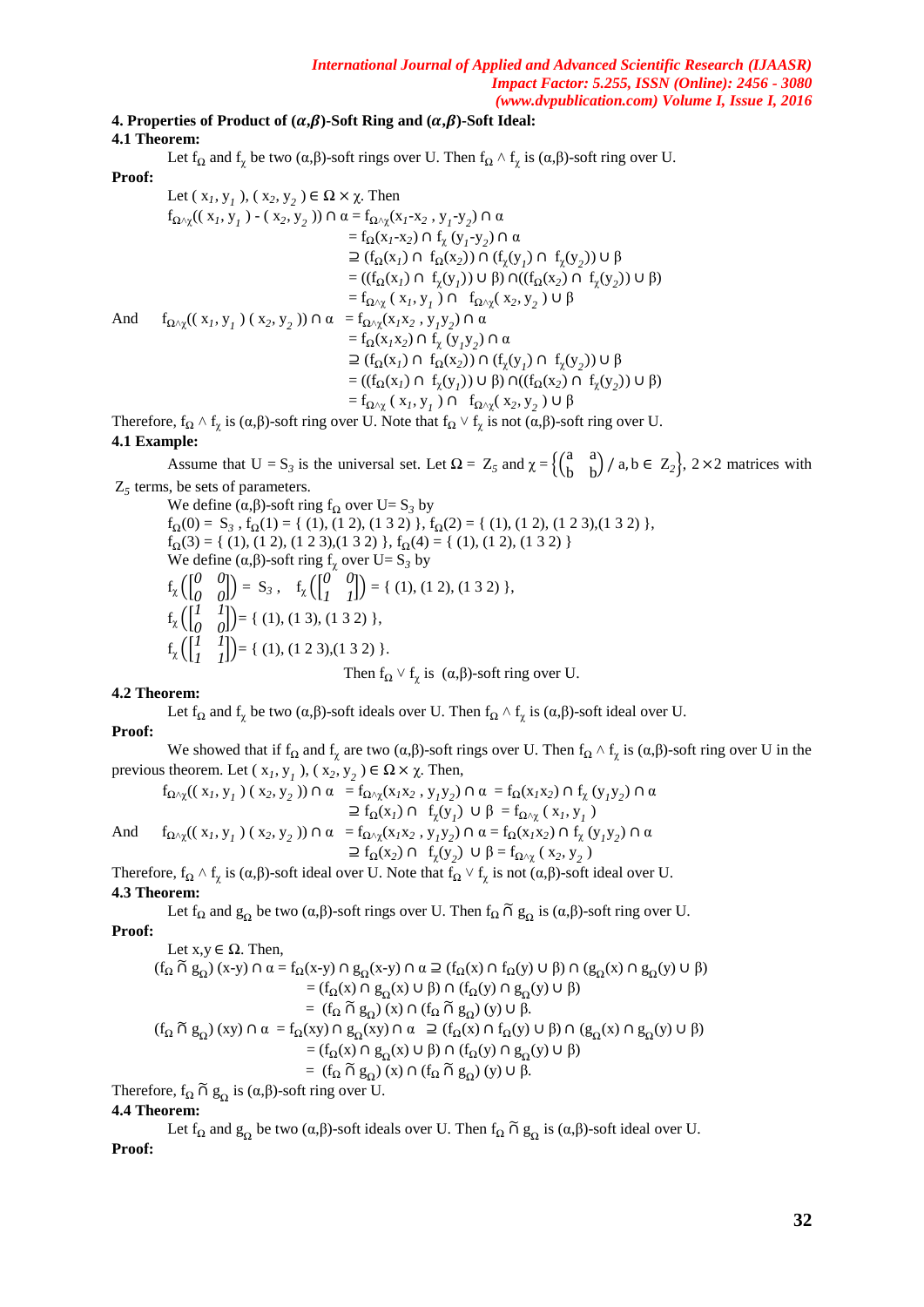# **4. Properties of Product of**  $(\alpha, \beta)$ **-Soft Ring and**  $(\alpha, \beta)$ **-Soft Ideal:**

**4.1 Theorem:** 

Let  $f_{\Omega}$  and  $f_{\chi}$  be two ( $\alpha, \beta$ )-soft rings over U. Then  $f_{\Omega} \wedge f_{\chi}$  is ( $\alpha, \beta$ )-soft ring over U.

## **Proof:**

Let 
$$
(x_1, y_1)
$$
,  $(x_2, y_2) \in \Omega \times \chi$ . Then  
\n $f_{\Omega \wedge \chi}((x_1, y_1) - (x_2, y_2)) \cap \alpha = f_{\Omega \wedge \chi}(x_1 - x_2, y_1 - y_2) \cap \alpha$   
\n $= f_{\Omega}(x_1 - x_2) \cap f_{\chi}(y_1 - y_2) \cap \alpha$   
\n $\supseteq (f_{\Omega}(x_1) \cap f_{\Omega}(x_2)) \cap (f_{\chi}(y_1) \cap f_{\chi}(y_2)) \cup \beta$   
\n $= ((f_{\Omega}(x_1) \cap f_{\chi}(y_1)) \cup \beta) \cap ((f_{\Omega}(x_2) \cap f_{\chi}(y_2)) \cup \beta)$   
\n $= f_{\Omega \wedge \chi}(x_1, y_1) \cap f_{\Omega \wedge \chi}(x_2, y_2) \cup \beta$   
\n $= f_{\Omega \wedge \chi}(x_1, y_1) \cap f_{\Omega \wedge \chi}(x_2, y_2) \cap \alpha$   
\n $= f_{\Omega}(x_1x_2) \cap f_{\chi}(y_1y_2) \cap \alpha$   
\n $= (f_{\Omega}(x_1) \cap f_{\Omega}(x_2)) \cap (f_{\chi}(y_1) \cap f_{\chi}(y_2)) \cup \beta$   
\n $= ((f_{\Omega}(x_1) \cap f_{\chi}(y_1)) \cup \beta) \cap ((f_{\Omega}(x_2) \cap f_{\chi}(y_2)) \cup \beta)$   
\n $= f_{\Omega \wedge \chi}(x_1, y_1) \cap f_{\Omega \wedge \chi}(x_2, y_2) \cup \beta$   
\n $= f_{\Omega \wedge \chi}(x_1, y_1) \cap f_{\Omega \wedge \chi}(x_2, y_2) \cup \beta$ 

Therefore,  $f_{\Omega} \wedge f_{\chi}$  is  $(\alpha, \beta)$ -soft ring over U. Note that  $f_{\Omega} \vee f_{\chi}$  is not  $(\alpha, \beta)$ -soft ring over U.

## **4.1 Example:**

Assume that  $U = S_3$  is the universal set. Let  $\Omega = Z_5$  and  $\chi = \begin{cases} \begin{pmatrix} a & a \\ b & b \end{pmatrix} \end{cases}$  $\begin{pmatrix} a & b \\ b & b \end{pmatrix}$  / a, b  $\in Z_2$ , 2 × 2 matrices with Z*5* terms, be sets of parameters.

We define  $(\alpha, \beta)$ -soft ring f<sub>Q</sub> over U= S<sub>3</sub> by  $f_{\Omega}(0) = S_3$ ,  $f_{\Omega}(1) = \{ (1), (1 \ 2), (1 \ 3 \ 2) \}, f_{\Omega}(2) = \{ (1), (1 \ 2), (1 \ 2 \ 3), (1 \ 3 \ 2) \},$  $f_{\Omega}(3) = \{ (1), (1\ 2), (1\ 2\ 3), (1\ 3\ 2) \}, f_{\Omega}(4) = \{ (1), (1\ 2), (1\ 3\ 2) \}$ We define  $(\alpha, \beta)$ -soft ring  $f_\gamma$  over  $U = S_3$  by  $f_{\chi}$  $\begin{pmatrix} 0 & 0 \\ 0 & 0 \end{pmatrix}$  $\begin{pmatrix} 0 & 0 \\ 0 & 0 \end{pmatrix}$  = S<sub>3</sub>, f<sub>x</sub>  $\begin{pmatrix} 0 & 0 \\ 1 & 1 \end{pmatrix}$  $\begin{bmatrix} 0 & 0 \\ 1 & 1 \end{bmatrix}$  = { (1), (1 2), (1 3 2) },  $f_{\chi}$   $\begin{bmatrix} 1 & 1 \\ 0 & 0 \end{bmatrix}$  $\begin{bmatrix} 1 & 1 \\ 0 & 0 \end{bmatrix}$  = { (1), (1 3), (1 3 2) },  $f_{\chi}$   $\begin{bmatrix} 1 & 1 \\ 1 & 1 \end{bmatrix}$  $\begin{bmatrix} 1 & 1 \\ 1 & 1 \end{bmatrix}$  = { (1), (1 2 3), (1 3 2) }.

Then  $f_{\Omega} \vee f_{\chi}$  is  $(\alpha, \beta)$ -soft ring over U.

## **4.2 Theorem:**

Let  $f_{\Omega}$  and  $f_{\chi}$  be two ( $\alpha, \beta$ )-soft ideals over U. Then  $f_{\Omega} \wedge f_{\chi}$  is ( $\alpha, \beta$ )-soft ideal over U.

## **Proof:**

We showed that if  $f_{\Omega}$  and  $f_{\chi}$  are two ( $\alpha, \beta$ )-soft rings over U. Then  $f_{\Omega} \wedge f_{\chi}$  is ( $\alpha, \beta$ )-soft ring over U in the previous theorem. Let  $(x_1, y_1)$ ,  $(x_2, y_2) \in \Omega \times \chi$ . Then,

$$
f_{\Omega \wedge \chi}((x_1, y_1) (x_2, y_2)) \cap \alpha = f_{\Omega \wedge \chi}(x_1x_2, y_1y_2) \cap \alpha = f_{\Omega}(x_1x_2) \cap f_{\chi}(y_1y_2) \cap \alpha
$$
  
\n
$$
\supseteq f_{\Omega}(x_1) \cap f_{\chi}(y_1) \cup \beta = f_{\Omega \wedge \chi}(x_1, y_1)
$$
  
\nAnd 
$$
f_{\Omega \wedge \chi}((x_1, y_1) (x_2, y_2)) \cap \alpha = f_{\Omega \wedge \chi}(x_1x_2, y_1y_2) \cap \alpha = f_{\Omega}(x_1x_2) \cap f_{\chi}(y_1y_2) \cap \alpha
$$
  
\n
$$
\supseteq f_{\Omega}(x_2) \cap f_{\chi}(y_2) \cup \beta = f_{\Omega \wedge \chi}(x_2, y_2)
$$

Therefore,  $f_{\Omega} \wedge f_{\chi}$  is  $(\alpha, \beta)$ -soft ideal over U. Note that  $f_{\Omega} \vee f_{\chi}$  is not  $(\alpha, \beta)$ -soft ideal over U. **4.3 Theorem:** 

Let  $f_{\Omega}$  and  $g_{\Omega}$  be two ( $\alpha$ , $\beta$ )-soft rings over U. Then  $f_{\Omega}$   $\tilde{\Omega}$   $g_{\Omega}$  is ( $\alpha$ , $\beta$ )-soft ring over U.

**Proof:** 

Let  $x,y \in \Omega$ . Then,  $(f_{\Omega} ∩ g_{\Omega}) (x-y) ∩ α = f_{\Omega}(x-y) ∩ g_{\Omega}(x-y) ∩ α ≥ (f_{\Omega}(x) ∩ f_{\Omega}(y) ∪ β) ∩ (g_{\Omega}(x) ∩ g_{\Omega}(y) ∪ β)$ = (f<sub>Ω</sub>(x) ∩ g<sub>Ω</sub>(x) ∪ β) ∩ (f<sub>Ω</sub>(y) ∩ g<sub>Ω</sub>(y) ∪ β) =  $(f_{\Omega} \cap g_{\Omega})$  (x)  $\cap (f_{\Omega} \cap g_{\Omega})$  (y)  $\cup \beta$ .  $(f_\Omega \widetilde{\cap} g_\Omega)(xy) \cap \alpha = f_\Omega(xy) \cap g_\Omega(xy) \cap \alpha \supseteq (f_\Omega(x) \cap f_\Omega(y) \cup \beta) \cap (g_\Omega(x) \cap g_\Omega(y) \cup \beta)$ = (f<sub>Ω</sub>(x) ∩ g<sub>Ω</sub>(x) ∪ β) ∩ (f<sub>Ω</sub>(y) ∩ g<sub>Ω</sub>(y) ∪ β) =  $(f_{\Omega} \cap g_{\Omega})$  (x)  $\cap (f_{\Omega} \cap g_{\Omega})$  (y)  $\cup \beta$ .

Therefore,  $f_{\Omega} \tilde{\cap} g_{\Omega}$  is  $(\alpha, \beta)$ -soft ring over U.

## **4.4 Theorem:**

Let  $f_{\Omega}$  and  $g_{\Omega}$  be two  $(\alpha, \beta)$ -soft ideals over U. Then  $f_{\Omega} \cap g_{\Omega}$  is  $(\alpha, \beta)$ -soft ideal over U. **Proof:**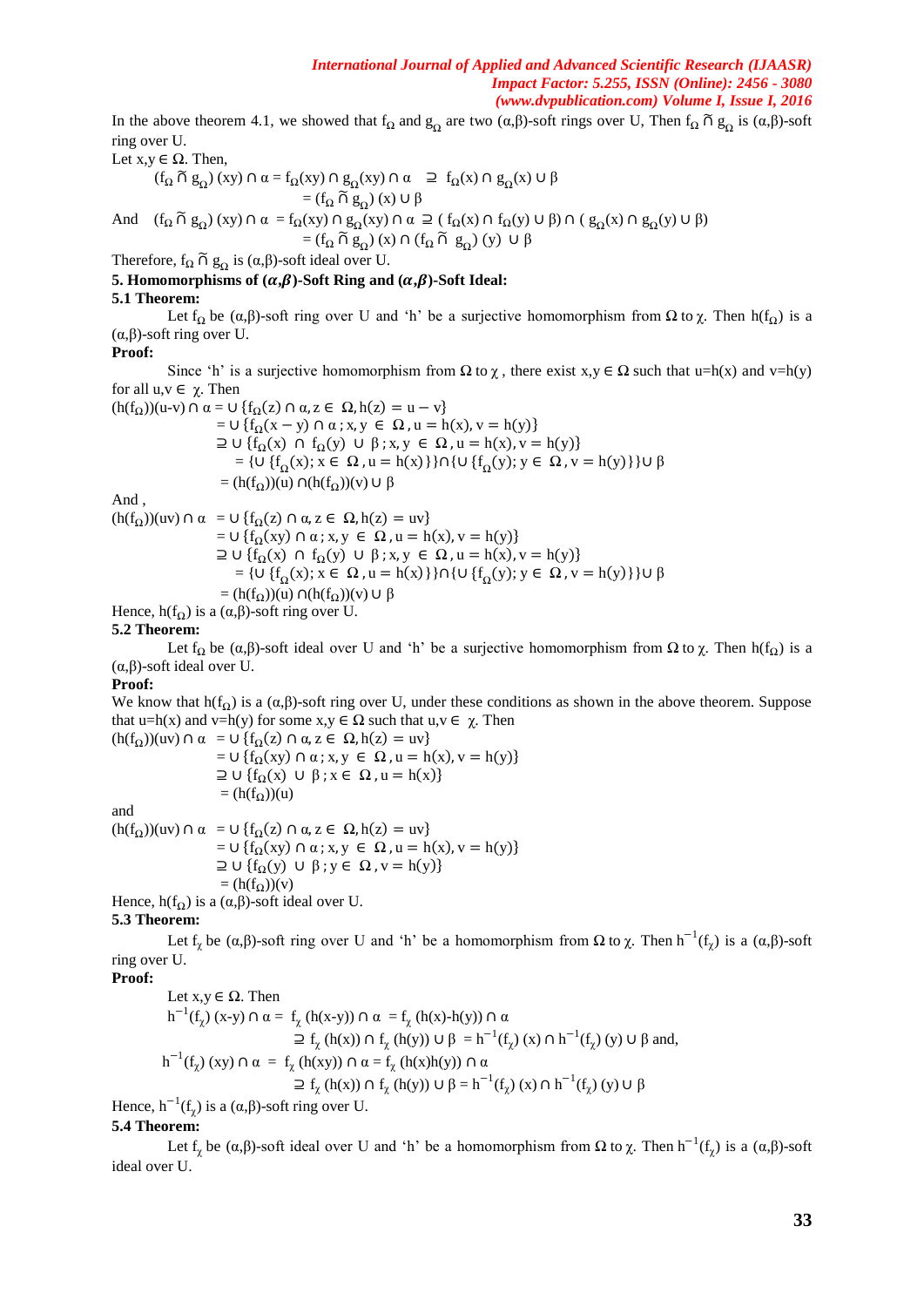In the above theorem 4.1, we showed that  $f_{\Omega}$  and  $g_{\Omega}$  are two ( $\alpha, \beta$ )-soft rings over U, Then  $f_{\Omega} \cap g_{\Omega}$  is ( $\alpha, \beta$ )-soft ring over U.

Let  $x, y \in \Omega$ . Then,

$$
(f_{\Omega} \cap g_{\Omega})(xy) \cap \alpha = f_{\Omega}(xy) \cap g_{\Omega}(xy) \cap \alpha \quad \supseteq f_{\Omega}(x) \cap g_{\Omega}(x) \cup \beta
$$

$$
= (f_{\Omega} \cap g_{\Omega})(x) \cup \beta
$$

And  $(f_{\Omega} \cap g_{\Omega})$  (xy)  $\cap \alpha = f_{\Omega}(xy) \cap g_{\Omega}(xy) \cap \alpha \supseteq (f_{\Omega}(x) \cap f_{\Omega}(y) \cup \beta) \cap (g_{\Omega}(x) \cap g_{\Omega}(y) \cup \beta)$ 

 $=(f_{\Omega} \widetilde{\cap} g_{\Omega})(x) \cap (f_{\Omega} \widetilde{\cap} g_{\Omega})(y) \cup \beta$ 

Therefore,  $f_{\Omega} \cap g_{\Omega}$  is  $(\alpha, \beta)$ -soft ideal over U.

## **5. Homomorphisms of**  $(\alpha, \beta)$ **-Soft Ring and**  $(\alpha, \beta)$ **-Soft Ideal:**

## **5.1 Theorem:**

Let f<sub>Q</sub> be ( $\alpha$ ,β)-soft ring over U and 'h' be a surjective homomorphism from  $\Omega$  to  $\gamma$ . Then h(f<sub>Q</sub>) is a (α,β)-soft ring over U.

## **Proof:**

Since 'h' is a surjective homomorphism from  $\Omega$  to  $\chi$ , there exist  $x, y \in \Omega$  such that u=h(x) and v=h(y) for all u,v ∈ χ. Then

 $(h(f_{\Omega}))$ (u-v)  $\cap \alpha = \cup \{f_{\Omega}(z) \cap \alpha, z \in \Omega, h(z) = u - v\}$  $=$   $\cup$  {f<sub>Ω</sub>(x - y)  $\cap$   $\alpha$ ; x, y  $\in$  Ω, u = h(x), v = h(y)}  $\supseteq$  ∪ {f<sub>Ω</sub>(x) ∩ f<sub>Ω</sub>(y) ∪ β; x, y ∈ Ω, u = h(x), v = h(y)} =  $\{U \{f_{\Omega}(x); x \in \Omega, u = h(x)\}\} \cap \{U \{f_{\Omega}(y); y \in \Omega, v = h(y)\}\} U \beta$  $=$  (h(f<sub>O</sub>))(u)  $\cap$ (h(f<sub>O</sub>))(v)  $\cup \beta$ And ,  $(h(f<sub>O</sub>))(uv) \cap \alpha = \cup \{f<sub>O</sub>(z) \cap \alpha, z \in \Omega, h(z) = uv\}$  $= U \{f_{\Omega}(xy) \cap \alpha : x, y \in \Omega, u = h(x), v = h(y)\}\$  $\supseteq$  ∪ {f<sub>Ω</sub>(x) ∩ f<sub>Ω</sub>(y) ∪  $\beta$ ; x, y ∈ Ω, u = h(x), v = h(y)} =  $\{U \{f_{\Omega}(x); x \in \Omega, u = h(x)\}\} \cap \{U \{f_{\Omega}(y); y \in \Omega, v = h(y)\}\} U \beta$  $=$  (h(f<sub>Ω</sub>))(u)  $\cap$ (h(f<sub>Ω</sub>))(v)  $\cup \beta$ 

Hence,  $h(f_{\Omega})$  is a  $(\alpha, \beta)$ -soft ring over U.

## **5.2 Theorem:**

Let f<sub>Q</sub> be ( $\alpha$ ,β)-soft ideal over U and 'h' be a surjective homomorphism from  $\Omega$  to  $\gamma$ . Then h(f<sub>Q</sub>) is a (α,β)-soft ideal over U.

#### **Proof:**

We know that h(f<sub>Q</sub>) is a  $(\alpha, \beta)$ -soft ring over U, under these conditions as shown in the above theorem. Suppose that u=h(x) and v=h(y) for some  $x, y \in \Omega$  such that  $u, v \in \chi$ . Then

 $(h(f<sub>O</sub>))(uv) \cap \alpha = \cup \{f<sub>O</sub>(z) \cap \alpha, z \in \Omega, h(z) = uv\}$  $=$   $\cup$  {f<sub>Ω</sub>(xy)  $\cap$   $\alpha$ ; x, y  $\in$  Ω, u = h(x), v = h(y)}  $\supseteq$   $\cup$  {f<sub>Ω</sub>(x)  $\cup$  β; x  $\in$  Ω, u = h(x)}  $=$  (h(f<sub>Ω</sub>))(u) and

 $(h(f<sub>O</sub>))(uv) \cap \alpha = \cup \{f<sub>O</sub>(z) \cap \alpha, z \in \Omega, h(z) = uv\}$  $=$   $\cup$  {f<sub>Q</sub>(xy)  $\cap$   $\alpha$ ; x, y  $\in$   $\Omega$ ,  $u$  = h(x),  $v$  = h(y)}  $\supseteq$  U {f<sub>o</sub>(y) U  $\beta$ ; y  $\in \Omega$ , y = h(y)}  $=$  (h(f<sub>O</sub>))(y) Hence,  $h(f_0)$  is a  $(\alpha, \beta)$ -soft ideal over U.

**5.3 Theorem:** 

Let  $f_\chi$  be  $(\alpha, \beta)$ -soft ring over U and 'h' be a homomorphism from  $\Omega$  to  $\chi$ . Then  $h^{-1}(f_\chi)$  is a  $(\alpha, \beta)$ -soft ring over U.

**Proof:** 

Let  $x, y \in \Omega$ . Then  $h^{-1}(f_\chi)(x-y)$  ∩ α =  $f_\chi(h(x-y))$  ∩ α =  $f_\chi(h(x)-h(y))$  ∩ α  $\supseteq f_\chi(h(x)) \cap f_\chi(h(y)) \cup \beta = h^{-1}(f_\chi)(x) \cap h^{-1}(f_\chi)(y) \cup \beta$  and, h<sup>-1</sup>(f<sub>χ</sub>) (xy) ∩ α = f<sub>χ</sub> (h(xy)) ∩ α = f<sub>χ</sub> (h(x)h(y)) ∩ α  $\supseteq f_\chi(h(x))$  ∩  $f_\chi(h(y))$  ∪ β = h<sup>-1</sup>(f<sub>χ</sub>) (x) ∩ h<sup>-1</sup>(f<sub>χ</sub>) (y) ∪ β

Hence,  $h^{-1}(f_\chi)$  is a  $(\alpha, \beta)$ -soft ring over U.

## **5.4 Theorem:**

Let  $f_\chi$  be  $(\alpha, \beta)$ -soft ideal over U and 'h' be a homomorphism from  $\Omega$  to  $\chi$ . Then  $h^{-1}(f_\chi)$  is a  $(\alpha, \beta)$ -soft ideal over U.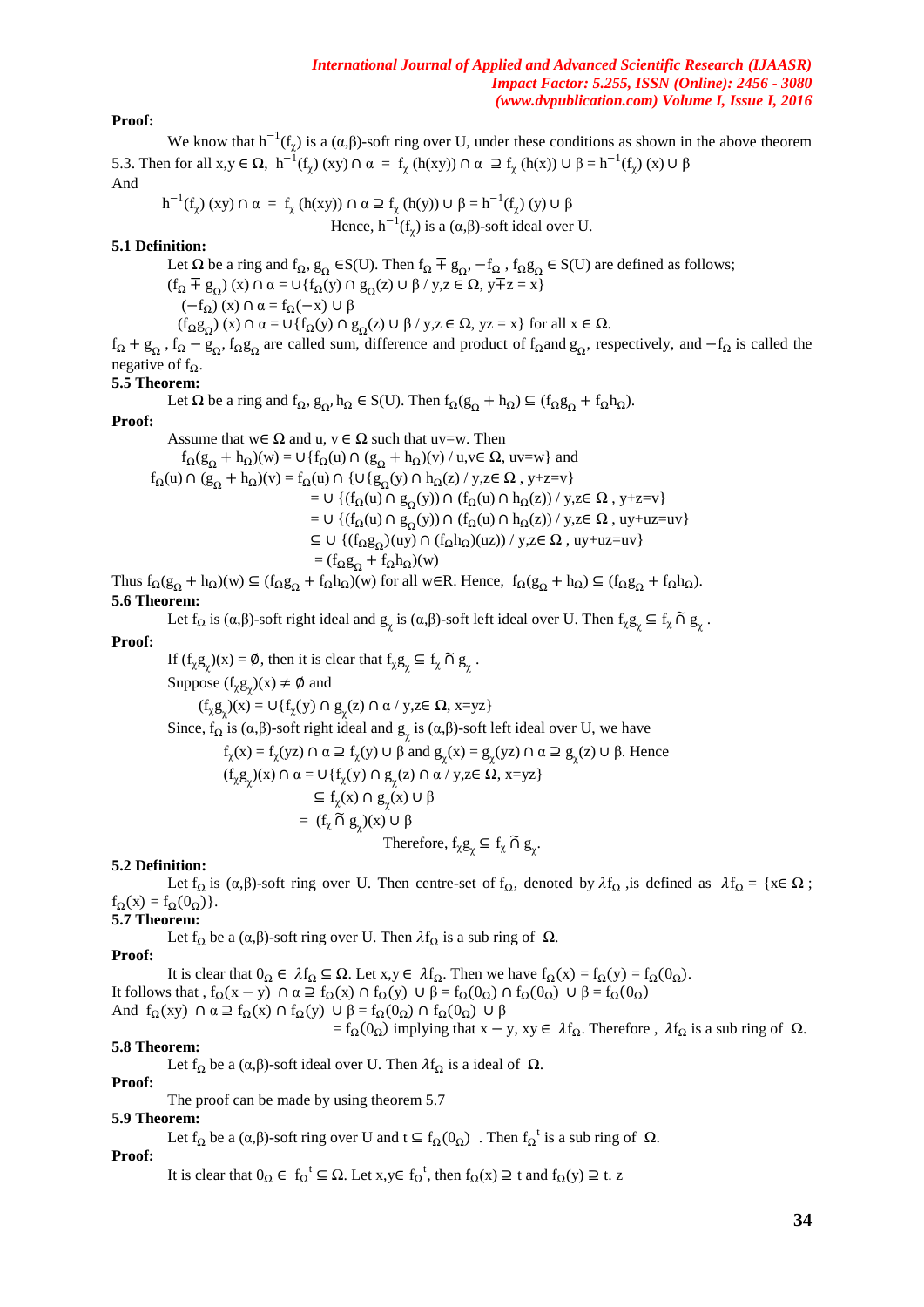## **Proof:**

We know that  $h^{-1}(f_\chi)$  is a  $(\alpha, \beta)$ -soft ring over U, under these conditions as shown in the above theorem 5.3. Then for all x,y ∈ Ω, h<sup>-1</sup>(f<sub>χ</sub>) (xy) ∩ α = f<sub>χ</sub> (h(xy)) ∩ α ⊇ f<sub>χ</sub> (h(x)) ∪ β = h<sup>-1</sup>(f<sub>χ</sub>) (x) ∪ β And

$$
h^{-1}(f_{\chi}) (xy) \cap \alpha = f_{\chi} (h(xy)) \cap \alpha \supseteq f_{\chi} (h(y)) \cup \beta = h^{-1}(f_{\chi}) (y) \cup \beta
$$
  
Hence,  $h^{-1}(f_{\chi})$  is a  $(\alpha, \beta)$ -soft ideal over U.

### **5.1 Definition:**

Let  $\Omega$  be a ring and  $f_{\Omega}$ ,  $g_{\Omega}$   $\in S(U)$ . Then  $f_{\Omega} \nightharpoondown f_{\Omega}$ ,  $-f_{\Omega}$ ,  $f_{\Omega}g_{\Omega}$   $\in S(U)$  are defined as follows;  $(f_{\Omega} \mp g_{\Omega})$  (x)  $\cap$   $\alpha$  = U{ $f_{\Omega}(y)$   $\cap$   $g_{\Omega}(z)$  U  $\beta$  / y,  $z \in \Omega$ ,  $y \mp z = x$ }  $(-f<sub>Ω</sub>)$  (x) ∩  $α = f<sub>Ω</sub>(-x) ∪ β$  $(f_{\Omega}g_{\Omega})$  (x)  $\cap$   $\alpha = \cup \{f_{\Omega}(y) \cap g_{\Omega}(z) \cup \beta / y, z \in \Omega, yz = x\}$  for all  $x \in \Omega$ .

 $f_{\Omega} + g_{\Omega}$ ,  $f_{\Omega} - g_{\Omega}$ ,  $f_{\Omega}g_{\Omega}$  are called sum, difference and product of  $f_{\Omega}$  and  $g_{\Omega}$ , respectively, and  $-f_{\Omega}$  is called the negative of  $f_{\Omega}$ .

## **5.5 Theorem:**

Let  $\Omega$  be a ring and  $f_{\Omega}, g_{\Omega}, h_{\Omega} \in S(U)$ . Then  $f_{\Omega}(g_{\Omega} + h_{\Omega}) \subseteq (f_{\Omega}g_{\Omega} + f_{\Omega}h_{\Omega})$ .

#### **Proof:**

Assume that  $w \in \Omega$  and  $u, v \in \Omega$  such that uv=w. Then  $f_{\Omega}(g_{\Omega} + h_{\Omega})(w) = \cup \{f_{\Omega}(u) \cap (g_{\Omega} + h_{\Omega})(v) / u, v \in \Omega, uv=w\}$  and  $f_{\Omega}(u) \cap (g_{\Omega} + h_{\Omega})(v) = f_{\Omega}(u) \cap \{U\{g_{\Omega}(y) \cap h_{\Omega}(z) / y, z \in \Omega, y+z=v\}$  $=$  U {(f<sub>Ω</sub>(u) ∩ g<sub>Ω</sub>(y)) ∩ (f<sub>Ω</sub>(u) ∩ h<sub>Ω</sub>(z)) / y,z∈ Ω , y+z=v} = ∪ { $(f_{\Omega}(u) \cap g_{\Omega}(y)) \cap (f_{\Omega}(u) \cap h_{\Omega}(z)) / y$ , z∈  $\Omega$ , uy+uz=uv}  $\subseteq$   $\cup$  { $(f_{\Omega}g_{\Omega})$ (uy)  $\cap$   $(f_{\Omega}h_{\Omega})$ (uz)) / y,z $\in$   $\Omega$  , uy+uz=uv}  $= (f_{\Omega}g_{\Omega} + f_{\Omega}h_{\Omega})(w)$ 

Thus  $f_{\Omega}(g_{\Omega} + h_{\Omega})(w) \subseteq (f_{\Omega}g_{\Omega} + f_{\Omega}h_{\Omega})(w)$  for all w∈R. Hence,  $f_{\Omega}(g_{\Omega} + h_{\Omega}) \subseteq (f_{\Omega}g_{\Omega} + f_{\Omega}h_{\Omega})$ . **5.6 Theorem:**

Let  $f_{\Omega}$  is  $(\alpha, \beta)$ -soft right ideal and  $g_{\chi}$  is  $(\alpha, \beta)$ -soft left ideal over U. Then  $f_{\chi}g_{\chi} \subseteq f_{\chi} \cap g_{\chi}$ .

#### **Proof:**

If  $(f_\chi g_\chi)(x) = \emptyset$ , then it is clear that  $f_\chi g_\chi \subseteq f_\chi \cap g_\chi$ . Suppose  $(f_{\chi}g_{\chi})(x) \neq \emptyset$  and  $(f_{\chi}g_{\chi})(x) = \cup \{f_{\chi}(y) \cap g_{\chi}(z) \cap \alpha / y, z \in \Omega, x=yz\}$ Since,  $f_{\Omega}$  is  $(\alpha, \beta)$ -soft right ideal and  $g_{\chi}$  is  $(\alpha, \beta)$ -soft left ideal over U, we have  $f_{\chi}(x) = f_{\chi}(yz) \cap \alpha \supseteq f_{\chi}(y) \cup \beta$  and  $g_{\chi}(x) = g_{\chi}(yz) \cap \alpha \supseteq g_{\chi}(z) \cup \beta$ . Hence  $(f_{\chi}g_{\chi})(x) \cap \alpha = \bigcup \{f_{\chi}(y) \cap g_{\chi}(z) \cap \alpha / y, z \in \Omega, x = yz\}$  $\subseteq f_\chi(x) \cap g_\chi(x) \cup \beta$  $= (f_x \widetilde{\cap} g_y)(x) \cup \beta$ Therefore,  $f_{\chi}g_{\chi} \subseteq f_{\chi} \cap g_{\chi}$ .

#### **5.2 Definition:**

Let  $f_{\Omega}$  is ( $\alpha, \beta$ )-soft ring over U. Then centre-set of  $f_{\Omega}$ , denoted by  $\lambda f_{\Omega}$ , is defined as  $\lambda f_{\Omega} = \{x \in \Omega\}$ ;  $f_{\Omega}(x) = f_{\Omega}(0_{\Omega})$ .

## **5.7 Theorem:**

Let  $f_{\Omega}$  be a ( $\alpha, \beta$ )-soft ring over U. Then  $\lambda f_{\Omega}$  is a sub ring of  $\Omega$ .

#### **Proof:**

It is clear that  $0_{\Omega} \in \lambda f_{\Omega} \subseteq \Omega$ . Let  $x, y \in \lambda f_{\Omega}$ . Then we have  $f_{\Omega}(x) = f_{\Omega}(y) = f_{\Omega}(0_{\Omega})$ . It follows that ,  $f_{\Omega}(x-y)$   $\cap \alpha \supseteq f_{\Omega}(x)$   $\cap$   $f_{\Omega}(y)$   $\cup \beta = f_{\Omega}(0_{\Omega})$   $\cap$   $f_{\Omega}(0_{\Omega})$   $\cup \beta = f_{\Omega}(0_{\Omega})$ And  $f_{\Omega}(xy) \cap \alpha \supseteq f_{\Omega}(x) \cap f_{\Omega}(y) \cup \beta = f_{\Omega}(0_{\Omega}) \cap f_{\Omega}(0_{\Omega}) \cup \beta$  $= f_Ω(0_Ω)$  implying that x – y, xy ∈  $λf_Ω$ . Therefore,  $λf_Ω$  is a sub ring of  $Ω$ .

# **5.8 Theorem:**

Let  $f_{\Omega}$  be a  $(\alpha, \beta)$ -soft ideal over U. Then  $\lambda f_{\Omega}$  is a ideal of  $\Omega$ .

#### **Proof:**

The proof can be made by using theorem 5.7

#### **5.9 Theorem:**

Let  $f_{\Omega}$  be a  $(\alpha, \beta)$ -soft ring over U and  $t \subseteq f_{\Omega}(0_{\Omega})$ . Then  $f_{\Omega}^{t}$  is a sub ring of  $\Omega$ .

#### **Proof:**

It is clear that  $0_{\Omega} \in f_{\Omega}^{\dagger} \subseteq \Omega$ . Let  $x, y \in f_{\Omega}^{\dagger}$ , then  $f_{\Omega}(x) \supseteq t$  and  $f_{\Omega}(y) \supseteq t$ . z